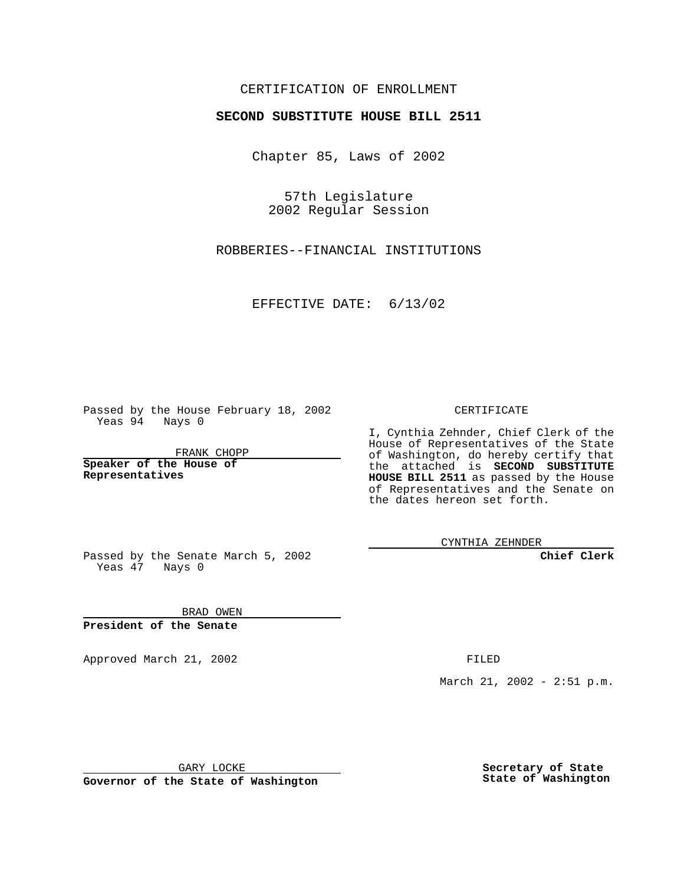## CERTIFICATION OF ENROLLMENT

## **SECOND SUBSTITUTE HOUSE BILL 2511**

Chapter 85, Laws of 2002

57th Legislature 2002 Regular Session

ROBBERIES--FINANCIAL INSTITUTIONS

EFFECTIVE DATE: 6/13/02

Passed by the House February 18, 2002 Yeas 94 Nays 0

FRANK CHOPP

**Speaker of the House of Representatives**

CERTIFICATE

I, Cynthia Zehnder, Chief Clerk of the House of Representatives of the State of Washington, do hereby certify that the attached is **SECOND SUBSTITUTE HOUSE BILL 2511** as passed by the House of Representatives and the Senate on the dates hereon set forth.

CYNTHIA ZEHNDER

**Chief Clerk**

Passed by the Senate March 5, 2002 Yeas 47 Nays 0

BRAD OWEN **President of the Senate**

Approved March 21, 2002 **FILED** 

March 21, 2002 - 2:51 p.m.

GARY LOCKE

**Governor of the State of Washington**

**Secretary of State State of Washington**